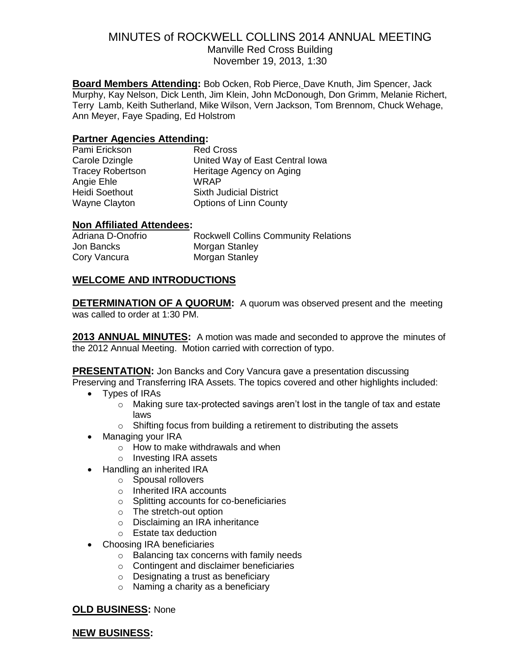## MINUTES of ROCKWELL COLLINS 2014 ANNUAL MEETING Manville Red Cross Building

November 19, 2013, 1:30

**Board Members Attending:** Bob Ocken, Rob Pierce, Dave Knuth, Jim Spencer, Jack Murphy, Kay Nelson, Dick Lenth, Jim Klein, John McDonough, Don Grimm, Melanie Richert, Terry Lamb, Keith Sutherland, Mike Wilson, Vern Jackson, Tom Brennom, Chuck Wehage, Ann Meyer, Faye Spading, Ed Holstrom

# **Partner Agencies Attending:**

| Pami Erickson           | <b>Red Cross</b>                |
|-------------------------|---------------------------------|
| Carole Dzingle          | United Way of East Central Iowa |
| <b>Tracey Robertson</b> | Heritage Agency on Aging        |
| Angie Ehle              | <b>WRAP</b>                     |
| <b>Heidi Soethout</b>   | <b>Sixth Judicial District</b>  |
| Wayne Clayton           | <b>Options of Linn County</b>   |

## **Non Affiliated Attendees:**

| Adriana D-Onofrio | <b>Rockwell Collins Community Relations</b> |
|-------------------|---------------------------------------------|
| Jon Bancks        | Morgan Stanley                              |
| Cory Vancura      | Morgan Stanley                              |

# **WELCOME AND INTRODUCTIONS**

**DETERMINATION OF A QUORUM:** A quorum was observed present and the meeting was called to order at 1:30 PM.

**2013 ANNUAL MINUTES:** A motion was made and seconded to approve the minutes of the 2012 Annual Meeting. Motion carried with correction of typo.

**PRESENTATION:** Jon Bancks and Cory Vancura gave a presentation discussing Preserving and Transferring IRA Assets. The topics covered and other highlights included:

- Types of IRAs
	- $\circ$  Making sure tax-protected savings aren't lost in the tangle of tax and estate laws
	- o Shifting focus from building a retirement to distributing the assets
- Managing your IRA
	- o How to make withdrawals and when
	- o Investing IRA assets
	- Handling an inherited IRA
		- o Spousal rollovers
		- o Inherited IRA accounts
		- o Splitting accounts for co-beneficiaries
		- o The stretch-out option
		- o Disclaiming an IRA inheritance
		- o Estate tax deduction
- Choosing IRA beneficiaries
	- o Balancing tax concerns with family needs
	- o Contingent and disclaimer beneficiaries
	- o Designating a trust as beneficiary
	- o Naming a charity as a beneficiary

### **OLD BUSINESS:** None

### **NEW BUSINESS:**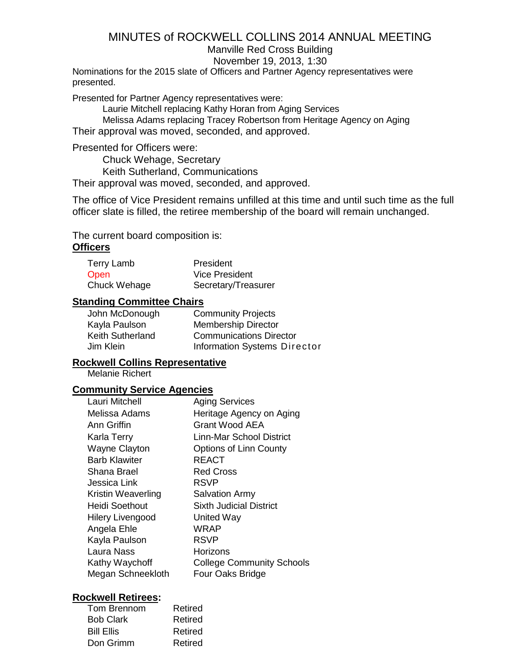## Manville Red Cross Building

November 19, 2013, 1:30

Nominations for the 2015 slate of Officers and Partner Agency representatives were presented.

Presented for Partner Agency representatives were:

Laurie Mitchell replacing Kathy Horan from Aging Services

Melissa Adams replacing Tracey Robertson from Heritage Agency on Aging

Their approval was moved, seconded, and approved.

Presented for Officers were:

Chuck Wehage, Secretary

Keith Sutherland, Communications

Their approval was moved, seconded, and approved.

The office of Vice President remains unfilled at this time and until such time as the full officer slate is filled, the retiree membership of the board will remain unchanged.

The current board composition is: **Officers**

| Terry Lamb   | President             |
|--------------|-----------------------|
| <b>Open</b>  | <b>Vice President</b> |
| Chuck Wehage | Secretary/Treasurer   |

### **Standing Committee Chairs**

| John McDonough   | <b>Community Projects</b>      |
|------------------|--------------------------------|
| Kayla Paulson    | <b>Membership Director</b>     |
| Keith Sutherland | <b>Communications Director</b> |
| Jim Klein        | Information Systems Director   |

### **Rockwell Collins Representative**

Melanie Richert

### **Community Service Agencies**

| Lauri Mitchell          | <b>Aging Services</b>            |
|-------------------------|----------------------------------|
| Melissa Adams           | Heritage Agency on Aging         |
| Ann Griffin             | Grant Wood AEA                   |
| Karla Terry             | Linn-Mar School District         |
| <b>Wayne Clayton</b>    | Options of Linn County           |
| <b>Barb Klawiter</b>    | REACT                            |
| Shana Brael             | <b>Red Cross</b>                 |
| Jessica Link            | <b>RSVP</b>                      |
| Kristin Weaverling      | <b>Salvation Army</b>            |
| Heidi Soethout          | <b>Sixth Judicial District</b>   |
| <b>Hilery Livengood</b> | United Way                       |
| Angela Ehle             | WRAP                             |
| Kayla Paulson           | <b>RSVP</b>                      |
| Laura Nass              | Horizons                         |
| Kathy Waychoff          | <b>College Community Schools</b> |
| Megan Schneekloth       | Four Oaks Bridge                 |
|                         |                                  |

#### **Rockwell Retirees:**

| Tom Brennom       | Retired |
|-------------------|---------|
| <b>Bob Clark</b>  | Retired |
| <b>Bill Ellis</b> | Retired |
| Don Grimm         | Retired |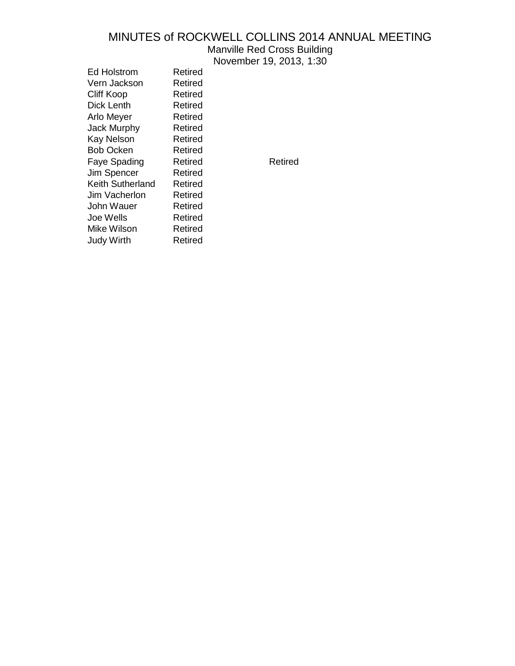Manville Red Cross Building

November 19, 2013, 1:30

Ed Holstrom Retired Vern Jackson Retired Cliff Koop Retired Dick Lenth Retired Arlo Meyer Retired Jack Murphy Retired Kay Nelson Retired Bob Ocken Retired Faye Spading Retired Retired Jim Spencer Retired Keith Sutherland Retired Jim Vacherlon Retired John Wauer Retired Joe Wells **Retired** Mike Wilson Retired Judy Wirth Retired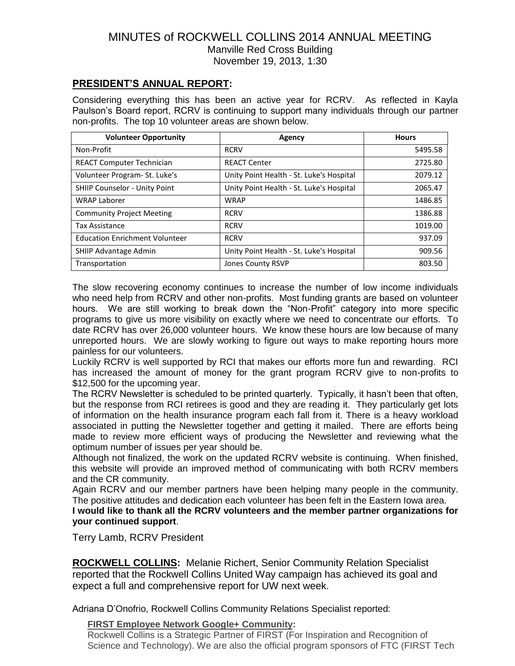# MINUTES of ROCKWELL COLLINS 2014 ANNUAL MEETING Manville Red Cross Building November 19, 2013, 1:30

## **PRESIDENT'S ANNUAL REPORT:**

Considering everything this has been an active year for RCRV. As reflected in Kayla Paulson's Board report, RCRV is continuing to support many individuals through our partner non-profits. The top 10 volunteer areas are shown below.

| <b>Volunteer Opportunity</b>          | Agency                                   | <b>Hours</b> |
|---------------------------------------|------------------------------------------|--------------|
| Non-Profit                            | <b>RCRV</b>                              | 5495.58      |
| <b>REACT Computer Technician</b>      | <b>REACT Center</b>                      | 2725.80      |
| Volunteer Program- St. Luke's         | Unity Point Health - St. Luke's Hospital | 2079.12      |
| <b>SHIIP Counselor - Unity Point</b>  | Unity Point Health - St. Luke's Hospital | 2065.47      |
| <b>WRAP Laborer</b>                   | <b>WRAP</b>                              | 1486.85      |
| <b>Community Project Meeting</b>      | <b>RCRV</b>                              | 1386.88      |
| <b>Tax Assistance</b>                 | <b>RCRV</b>                              | 1019.00      |
| <b>Education Enrichment Volunteer</b> | <b>RCRV</b>                              | 937.09       |
| SHIIP Advantage Admin                 | Unity Point Health - St. Luke's Hospital | 909.56       |
| Transportation                        | Jones County RSVP                        | 803.50       |

The slow recovering economy continues to increase the number of low income individuals who need help from RCRV and other non-profits. Most funding grants are based on volunteer hours. We are still working to break down the "Non-Profit" category into more specific programs to give us more visibility on exactly where we need to concentrate our efforts. To date RCRV has over 26,000 volunteer hours. We know these hours are low because of many unreported hours. We are slowly working to figure out ways to make reporting hours more painless for our volunteers.

Luckily RCRV is well supported by RCI that makes our efforts more fun and rewarding. RCI has increased the amount of money for the grant program RCRV give to non-profits to \$12,500 for the upcoming year.

The RCRV Newsletter is scheduled to be printed quarterly. Typically, it hasn't been that often, but the response from RCI retirees is good and they are reading it. They particularly get lots of information on the health insurance program each fall from it. There is a heavy workload associated in putting the Newsletter together and getting it mailed. There are efforts being made to review more efficient ways of producing the Newsletter and reviewing what the optimum number of issues per year should be.

Although not finalized, the work on the updated RCRV website is continuing. When finished, this website will provide an improved method of communicating with both RCRV members and the CR community.

Again RCRV and our member partners have been helping many people in the community. The positive attitudes and dedication each volunteer has been felt in the Eastern Iowa area.

**I would like to thank all the RCRV volunteers and the member partner organizations for your continued support**.

Terry Lamb, RCRV President

**ROCKWELL COLLINS:** Melanie Richert, Senior Community Relation Specialist reported that the Rockwell Collins United Way campaign has achieved its goal and expect a full and comprehensive report for UW next week.

Adriana D'Onofrio, Rockwell Collins Community Relations Specialist reported:

#### **FIRST Employee Network Google+ Community:**

Rockwell Collins is a Strategic Partner of FIRST (For Inspiration and Recognition of Science and Technology). We are also the official program sponsors of FTC (FIRST Tech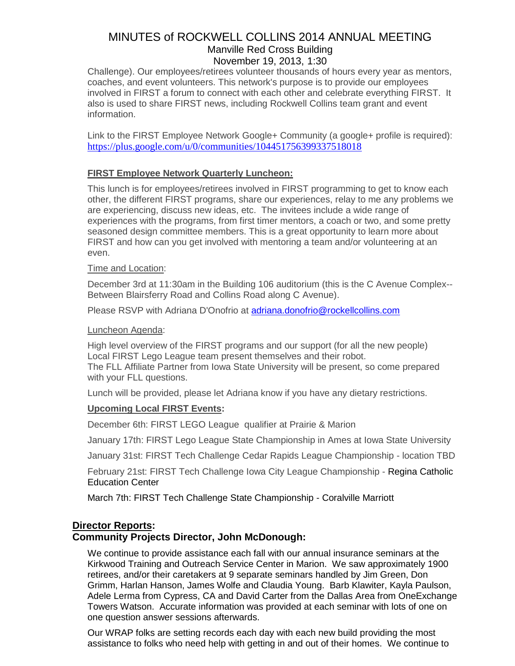# MINUTES of ROCKWELL COLLINS 2014 ANNUAL MEETING Manville Red Cross Building November 19, 2013, 1:30

Challenge). Our employees/retirees volunteer thousands of hours every year as mentors, coaches, and event volunteers. This network's purpose is to provide our employees involved in FIRST a forum to connect with each other and celebrate everything FIRST. It also is used to share FIRST news, including Rockwell Collins team grant and event information.

Link to the FIRST Employee Network Google+ Community (a google+ profile is required): <https://plus.google.com/u/0/communities/104451756399337518018>

## **FIRST Employee Network Quarterly Luncheon:**

This lunch is for employees/retirees involved in FIRST programming to get to know each other, the different FIRST programs, share our experiences, relay to me any problems we are experiencing, discuss new ideas, etc. The invitees include a wide range of experiences with the programs, from first timer mentors, a coach or two, and some pretty seasoned design committee members. This is a great opportunity to learn more about FIRST and how can you get involved with mentoring a team and/or volunteering at an even.

#### Time and Location:

December 3rd at 11:30am in the Building 106 auditorium (this is the C Avenue Complex-- Between Blairsferry Road and Collins Road along C Avenue).

Please RSVP with Adriana D'Onofrio at [adriana.donofrio@rockellcollins.com](mailto:adriana.donofrio@rockellcollins.com)

#### Luncheon Agenda:

High level overview of the FIRST programs and our support (for all the new people) Local FIRST Lego League team present themselves and their robot. The FLL Affiliate Partner from Iowa State University will be present, so come prepared with your FLL questions.

Lunch will be provided, please let Adriana know if you have any dietary restrictions.

### **Upcoming Local FIRST Events:**

December 6th: FIRST LEGO League qualifier at Prairie & Marion

January 17th: FIRST Lego League State Championship in Ames at Iowa State University

January 31st: FIRST Tech Challenge Cedar Rapids League Championship - location TBD

February 21st: FIRST Tech Challenge Iowa City League Championship - Regina Catholic Education Center

March 7th: FIRST Tech Challenge State Championship - Coralville Marriott

# **Director Reports:**

### **Community Projects Director, John McDonough:**

We continue to provide assistance each fall with our annual insurance seminars at the Kirkwood Training and Outreach Service Center in Marion. We saw approximately 1900 retirees, and/or their caretakers at 9 separate seminars handled by Jim Green, Don Grimm, Harlan Hanson, James Wolfe and Claudia Young. Barb Klawiter, Kayla Paulson, Adele Lerma from Cypress, CA and David Carter from the Dallas Area from OneExchange Towers Watson. Accurate information was provided at each seminar with lots of one on one question answer sessions afterwards.

Our WRAP folks are setting records each day with each new build providing the most assistance to folks who need help with getting in and out of their homes. We continue to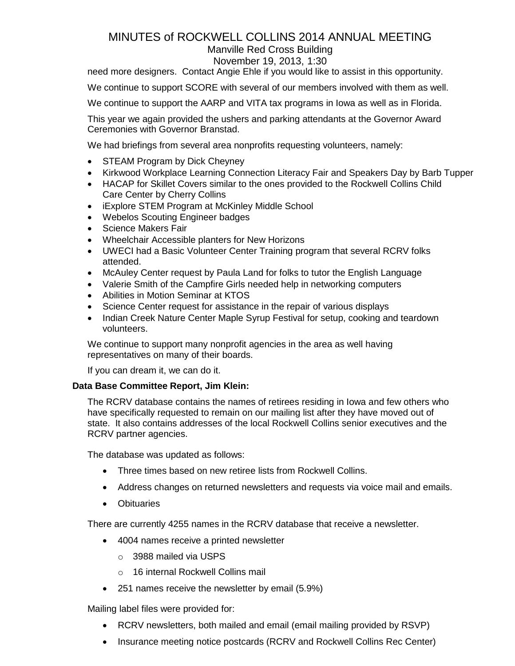# Manville Red Cross Building

### November 19, 2013, 1:30

need more designers. Contact Angie Ehle if you would like to assist in this opportunity.

We continue to support SCORE with several of our members involved with them as well.

We continue to support the AARP and VITA tax programs in Iowa as well as in Florida.

This year we again provided the ushers and parking attendants at the Governor Award Ceremonies with Governor Branstad.

We had briefings from several area nonprofits requesting volunteers, namely:

- STEAM Program by Dick Cheyney
- Kirkwood Workplace Learning Connection Literacy Fair and Speakers Day by Barb Tupper
- HACAP for Skillet Covers similar to the ones provided to the Rockwell Collins Child Care Center by Cherry Collins
- iExplore STEM Program at McKinley Middle School
- Webelos Scouting Engineer badges
- Science Makers Fair
- Wheelchair Accessible planters for New Horizons
- UWECI had a Basic Volunteer Center Training program that several RCRV folks attended.
- McAuley Center request by Paula Land for folks to tutor the English Language
- Valerie Smith of the Campfire Girls needed help in networking computers
- Abilities in Motion Seminar at KTOS
- Science Center request for assistance in the repair of various displays
- Indian Creek Nature Center Maple Syrup Festival for setup, cooking and teardown volunteers.

We continue to support many nonprofit agencies in the area as well having representatives on many of their boards.

If you can dream it, we can do it.

### **Data Base Committee Report, Jim Klein:**

The RCRV database contains the names of retirees residing in Iowa and few others who have specifically requested to remain on our mailing list after they have moved out of state. It also contains addresses of the local Rockwell Collins senior executives and the RCRV partner agencies.

The database was updated as follows:

- Three times based on new retiree lists from Rockwell Collins.
- Address changes on returned newsletters and requests via voice mail and emails.
- Obituaries

There are currently 4255 names in the RCRV database that receive a newsletter.

- 4004 names receive a printed newsletter
	- o 3988 mailed via USPS
	- o 16 internal Rockwell Collins mail
- 251 names receive the newsletter by email (5.9%)

Mailing label files were provided for:

- RCRV newsletters, both mailed and email (email mailing provided by RSVP)
- Insurance meeting notice postcards (RCRV and Rockwell Collins Rec Center)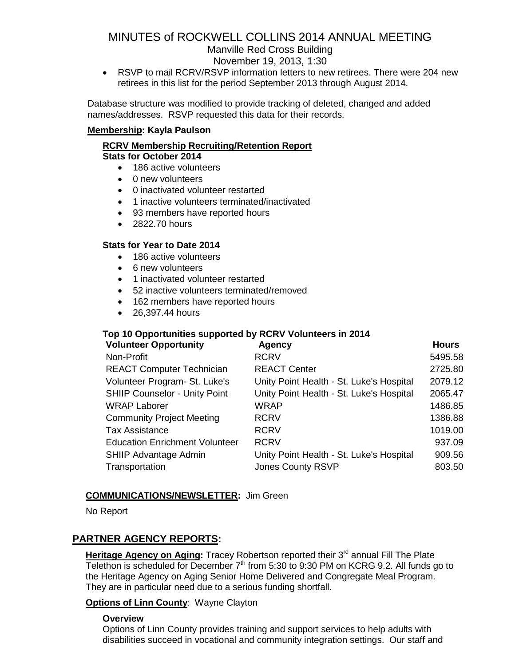Manville Red Cross Building

November 19, 2013, 1:30

 RSVP to mail RCRV/RSVP information letters to new retirees. There were 204 new retirees in this list for the period September 2013 through August 2014.

Database structure was modified to provide tracking of deleted, changed and added names/addresses. RSVP requested this data for their records.

## **Membership: Kayla Paulson**

#### **RCRV Membership Recruiting/Retention Report Stats for October 2014**

- 186 active volunteers
- 0 new volunteers
- 0 inactivated volunteer restarted
- 1 inactive volunteers terminated/inactivated
- 93 members have reported hours
- 2822.70 hours

## **Stats for Year to Date 2014**

- 186 active volunteers
- 6 new volunteers
- 1 inactivated volunteer restarted
- 52 inactive volunteers terminated/removed
- 162 members have reported hours
- 26.397.44 hours

## **Top 10 Opportunities supported by RCRV Volunteers in 2014**

| <b>Volunteer Opportunity</b>          | <b>Agency</b>                            | <b>Hours</b> |
|---------------------------------------|------------------------------------------|--------------|
| Non-Profit                            | <b>RCRV</b>                              | 5495.58      |
| <b>REACT Computer Technician</b>      | <b>REACT Center</b>                      | 2725.80      |
| Volunteer Program- St. Luke's         | Unity Point Health - St. Luke's Hospital | 2079.12      |
| <b>SHIIP Counselor - Unity Point</b>  | Unity Point Health - St. Luke's Hospital | 2065.47      |
| <b>WRAP Laborer</b>                   | <b>WRAP</b>                              | 1486.85      |
| <b>Community Project Meeting</b>      | <b>RCRV</b>                              | 1386.88      |
| Tax Assistance                        | <b>RCRV</b>                              | 1019.00      |
| <b>Education Enrichment Volunteer</b> | <b>RCRV</b>                              | 937.09       |
| <b>SHIIP Advantage Admin</b>          | Unity Point Health - St. Luke's Hospital | 909.56       |
| Transportation                        | <b>Jones County RSVP</b>                 | 803.50       |
|                                       |                                          |              |

### **COMMUNICATIONS/NEWSLETTER:** Jim Green

No Report

# **PARTNER AGENCY REPORTS:**

Heritage Agency on Aging: Tracey Robertson reported their 3<sup>rd</sup> annual Fill The Plate Telethon is scheduled for December  $7<sup>th</sup>$  from 5:30 to 9:30 PM on KCRG 9.2. All funds go to the Heritage Agency on Aging Senior Home Delivered and Congregate Meal Program. They are in particular need due to a serious funding shortfall.

### **Options of Linn County**: Wayne Clayton

### **Overview**

Options of Linn County provides training and support services to help adults with disabilities succeed in vocational and community integration settings. Our staff and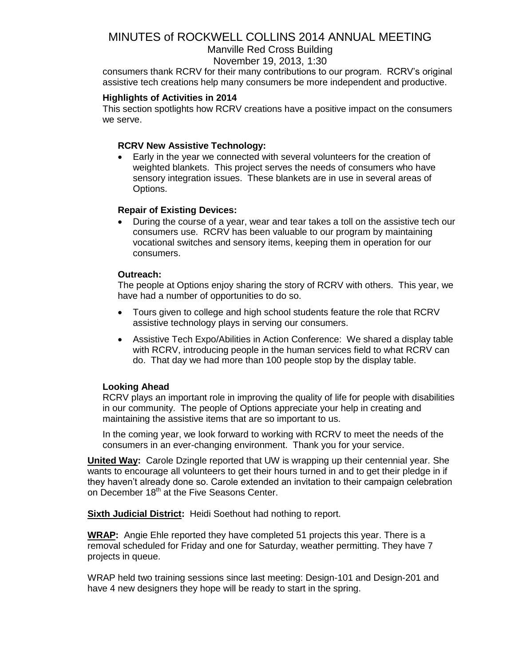## Manville Red Cross Building

#### November 19, 2013, 1:30

consumers thank RCRV for their many contributions to our program. RCRV's original assistive tech creations help many consumers be more independent and productive.

#### **Highlights of Activities in 2014**

This section spotlights how RCRV creations have a positive impact on the consumers we serve.

#### **RCRV New Assistive Technology:**

 Early in the year we connected with several volunteers for the creation of weighted blankets. This project serves the needs of consumers who have sensory integration issues. These blankets are in use in several areas of Options.

#### **Repair of Existing Devices:**

 During the course of a year, wear and tear takes a toll on the assistive tech our consumers use. RCRV has been valuable to our program by maintaining vocational switches and sensory items, keeping them in operation for our consumers.

#### **Outreach:**

The people at Options enjoy sharing the story of RCRV with others. This year, we have had a number of opportunities to do so.

- Tours given to college and high school students feature the role that RCRV assistive technology plays in serving our consumers.
- Assistive Tech Expo/Abilities in Action Conference: We shared a display table with RCRV, introducing people in the human services field to what RCRV can do. That day we had more than 100 people stop by the display table.

#### **Looking Ahead**

RCRV plays an important role in improving the quality of life for people with disabilities in our community. The people of Options appreciate your help in creating and maintaining the assistive items that are so important to us.

In the coming year, we look forward to working with RCRV to meet the needs of the consumers in an ever-changing environment. Thank you for your service.

**United Way:** Carole Dzingle reported that UW is wrapping up their centennial year. She wants to encourage all volunteers to get their hours turned in and to get their pledge in if they haven't already done so. Carole extended an invitation to their campaign celebration on December 18<sup>th</sup> at the Five Seasons Center.

**Sixth Judicial District:** Heidi Soethout had nothing to report.

**WRAP:** Angie Ehle reported they have completed 51 projects this year. There is a removal scheduled for Friday and one for Saturday, weather permitting. They have 7 projects in queue.

WRAP held two training sessions since last meeting: Design-101 and Design-201 and have 4 new designers they hope will be ready to start in the spring.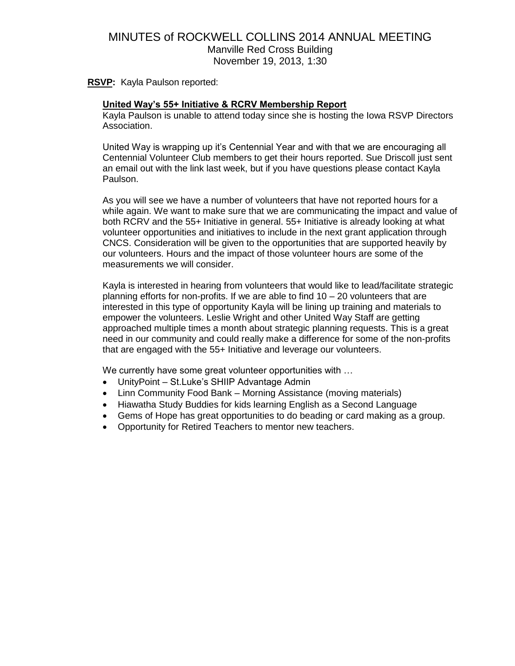# MINUTES of ROCKWELL COLLINS 2014 ANNUAL MEETING Manville Red Cross Building November 19, 2013, 1:30

**RSVP:** Kayla Paulson reported:

#### **United Way's 55+ Initiative & RCRV Membership Report**

Kayla Paulson is unable to attend today since she is hosting the Iowa RSVP Directors Association.

United Way is wrapping up it's Centennial Year and with that we are encouraging all Centennial Volunteer Club members to get their hours reported. Sue Driscoll just sent an email out with the link last week, but if you have questions please contact Kayla Paulson.

As you will see we have a number of volunteers that have not reported hours for a while again. We want to make sure that we are communicating the impact and value of both RCRV and the 55+ Initiative in general. 55+ Initiative is already looking at what volunteer opportunities and initiatives to include in the next grant application through CNCS. Consideration will be given to the opportunities that are supported heavily by our volunteers. Hours and the impact of those volunteer hours are some of the measurements we will consider.

Kayla is interested in hearing from volunteers that would like to lead/facilitate strategic planning efforts for non-profits. If we are able to find 10 – 20 volunteers that are interested in this type of opportunity Kayla will be lining up training and materials to empower the volunteers. Leslie Wright and other United Way Staff are getting approached multiple times a month about strategic planning requests. This is a great need in our community and could really make a difference for some of the non-profits that are engaged with the 55+ Initiative and leverage our volunteers.

We currently have some great volunteer opportunities with ...

- UnityPoint St.Luke's SHIIP Advantage Admin
- Linn Community Food Bank Morning Assistance (moving materials)
- Hiawatha Study Buddies for kids learning English as a Second Language
- Gems of Hope has great opportunities to do beading or card making as a group.
- Opportunity for Retired Teachers to mentor new teachers.